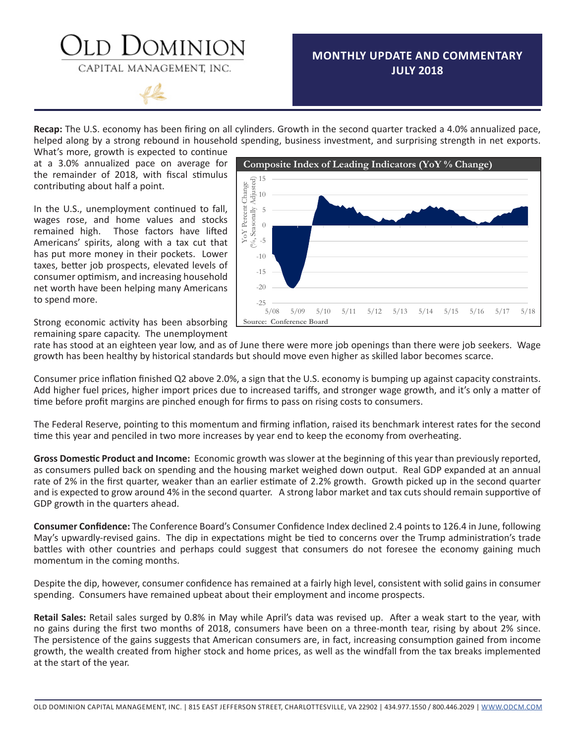### )OMINION CAPITAL MANAGEMENT, INC.

### **MONTHLY UPDATE AND COMMENTARY JULY 2018**

**Recap:** The U.S. economy has been firing on all cylinders. Growth in the second quarter tracked a 4.0% annualized pace, helped along by a strong rebound in household spending, business investment, and surprising strength in net exports.

What's more, growth is expected to continue at a 3.0% annualized pace on average for the remainder of 2018, with fiscal stimulus contributing about half a point.

In the U.S., unemployment continued to fall, wages rose, and home values and stocks remained high. Those factors have lifted Americans' spirits, along with a tax cut that has put more money in their pockets. Lower taxes, better job prospects, elevated levels of consumer optimism, and increasing household net worth have been helping many Americans to spend more.



Strong economic activity has been absorbing remaining spare capacity. The unemployment

rate has stood at an eighteen year low, and as of June there were more job openings than there were job seekers. Wage growth has been healthy by historical standards but should move even higher as skilled labor becomes scarce.

Consumer price inflation finished Q2 above 2.0%, a sign that the U.S. economy is bumping up against capacity constraints. Add higher fuel prices, higher import prices due to increased tariffs, and stronger wage growth, and it's only a matter of time before profit margins are pinched enough for firms to pass on rising costs to consumers.

The Federal Reserve, pointing to this momentum and firming inflation, raised its benchmark interest rates for the second time this year and penciled in two more increases by year end to keep the economy from overheating.

**Gross Domestic Product and Income:** Economic growth was slower at the beginning of this year than previously reported, as consumers pulled back on spending and the housing market weighed down output. Real GDP expanded at an annual rate of 2% in the first quarter, weaker than an earlier estimate of 2.2% growth. Growth picked up in the second quarter and is expected to grow around 4% in the second quarter. A strong labor market and tax cuts should remain supportive of GDP growth in the quarters ahead.

**Consumer Confidence:** The Conference Board's Consumer Confidence Index declined 2.4 points to 126.4 in June, following May's upwardly-revised gains. The dip in expectations might be tied to concerns over the Trump administration's trade battles with other countries and perhaps could suggest that consumers do not foresee the economy gaining much momentum in the coming months.

Despite the dip, however, consumer confidence has remained at a fairly high level, consistent with solid gains in consumer spending. Consumers have remained upbeat about their employment and income prospects.

**Retail Sales:** Retail sales surged by 0.8% in May while April's data was revised up. After a weak start to the year, with no gains during the first two months of 2018, consumers have been on a three-month tear, rising by about 2% since. The persistence of the gains suggests that American consumers are, in fact, increasing consumption gained from income growth, the wealth created from higher stock and home prices, as well as the windfall from the tax breaks implemented at the start of the year.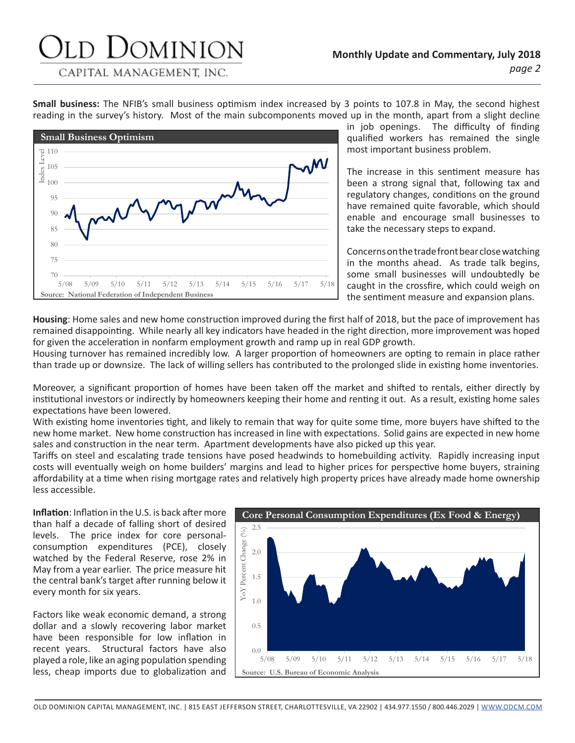## JOMINION

CAPITAL MANAGEMENT, INC.

**Small business:** The NFIB's small business optimism index increased by 3 points to 107.8 in May, the second highest reading in the survey's history. Most of the main subcomponents moved up in the month, apart from a slight decline



in job openings. The difficulty of finding qualified workers has remained the single most important business problem.

The increase in this sentiment measure has been a strong signal that, following tax and regulatory changes, conditions on the ground have remained quite favorable, which should enable and encourage small businesses to take the necessary steps to expand.

Concerns on the trade front bear close watching in the months ahead. As trade talk begins, some small businesses will undoubtedly be caught in the crossfire, which could weigh on the sentiment measure and expansion plans.

**Housing**: Home sales and new home construction improved during the first half of 2018, but the pace of improvement has remained disappointing. While nearly all key indicators have headed in the right direction, more improvement was hoped for given the acceleration in nonfarm employment growth and ramp up in real GDP growth.

Housing turnover has remained incredibly low. A larger proportion of homeowners are opting to remain in place rather than trade up or downsize. The lack of willing sellers has contributed to the prolonged slide in existing home inventories.

Moreover, a significant proportion of homes have been taken off the market and shifted to rentals, either directly by institutional investors or indirectly by homeowners keeping their home and renting it out. As a result, existing home sales expectations have been lowered.

With existing home inventories tight, and likely to remain that way for quite some time, more buyers have shifted to the new home market. New home construction has increased in line with expectations. Solid gains are expected in new home sales and construction in the near term. Apartment developments have also picked up this year.

Tariffs on steel and escalating trade tensions have posed headwinds to homebuilding activity. Rapidly increasing input costs will eventually weigh on home builders' margins and lead to higher prices for perspective home buyers, straining affordability at a time when rising mortgage rates and relatively high property prices have already made home ownership less accessible.

**Inflation**: Inflation in the U.S. is back after more than half a decade of falling short of desired levels. The price index for core personalconsumption expenditures (PCE), closely watched by the Federal Reserve, rose 2% in May from a year earlier. The price measure hit the central bank's target after running below it every month for six years.

Factors like weak economic demand, a strong dollar and a slowly recovering labor market have been responsible for low inflation in recent years. Structural factors have also played a role, like an aging population spending less, cheap imports due to globalization and

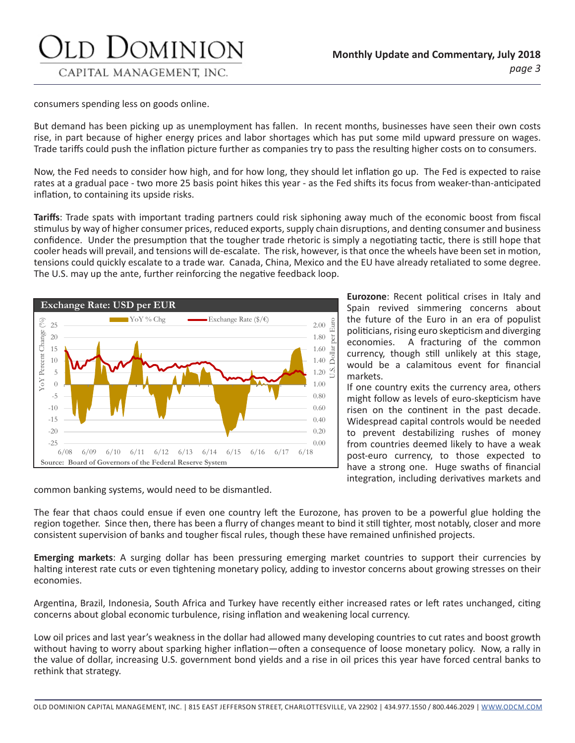consumers spending less on goods online.

But demand has been picking up as unemployment has fallen. In recent months, businesses have seen their own costs rise, in part because of higher energy prices and labor shortages which has put some mild upward pressure on wages. Trade tariffs could push the inflation picture further as companies try to pass the resulting higher costs on to consumers.

Now, the Fed needs to consider how high, and for how long, they should let inflation go up. The Fed is expected to raise rates at a gradual pace - two more 25 basis point hikes this year - as the Fed shifts its focus from weaker-than-anticipated inflation, to containing its upside risks.

**Tariffs**: Trade spats with important trading partners could risk siphoning away much of the economic boost from fiscal stimulus by way of higher consumer prices, reduced exports, supply chain disruptions, and denting consumer and business confidence. Under the presumption that the tougher trade rhetoric is simply a negotiating tactic, there is still hope that cooler heads will prevail, and tensions will de-escalate. The risk, however, is that once the wheels have been set in motion, tensions could quickly escalate to a trade war. Canada, China, Mexico and the EU have already retaliated to some degree. The U.S. may up the ante, further reinforcing the negative feedback loop.



**Eurozone**: Recent political crises in Italy and Spain revived simmering concerns about the future of the Euro in an era of populist politicians, rising euro skepticism and diverging economies. A fracturing of the common currency, though still unlikely at this stage, would be a calamitous event for financial markets.

If one country exits the currency area, others might follow as levels of euro-skepticism have risen on the continent in the past decade. Widespread capital controls would be needed to prevent destabilizing rushes of money from countries deemed likely to have a weak post-euro currency, to those expected to have a strong one. Huge swaths of financial integration, including derivatives markets and

common banking systems, would need to be dismantled.

The fear that chaos could ensue if even one country left the Eurozone, has proven to be a powerful glue holding the region together. Since then, there has been a flurry of changes meant to bind it still tighter, most notably, closer and more consistent supervision of banks and tougher fiscal rules, though these have remained unfinished projects.

**Emerging markets**: A surging dollar has been pressuring emerging market countries to support their currencies by halting interest rate cuts or even tightening monetary policy, adding to investor concerns about growing stresses on their economies.

Argentina, Brazil, Indonesia, South Africa and Turkey have recently either increased rates or left rates unchanged, citing concerns about global economic turbulence, rising inflation and weakening local currency.

Low oil prices and last year's weakness in the dollar had allowed many developing countries to cut rates and boost growth without having to worry about sparking higher inflation—often a consequence of loose monetary policy. Now, a rally in the value of dollar, increasing U.S. government bond yields and a rise in oil prices this year have forced central banks to rethink that strategy.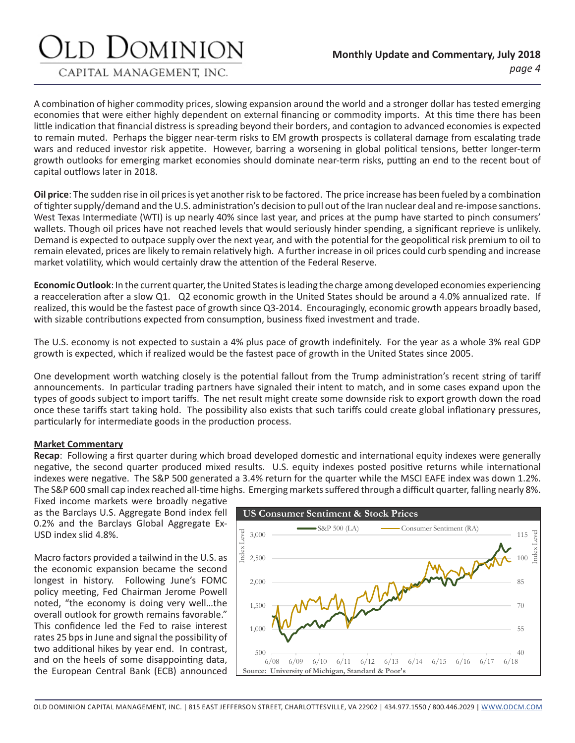## Jominion

CAPITAL MANAGEMENT, INC.

A combination of higher commodity prices, slowing expansion around the world and a stronger dollar has tested emerging economies that were either highly dependent on external financing or commodity imports. At this time there has been little indication that financial distress is spreading beyond their borders, and contagion to advanced economies is expected to remain muted. Perhaps the bigger near-term risks to EM growth prospects is collateral damage from escalating trade wars and reduced investor risk appetite. However, barring a worsening in global political tensions, better longer-term growth outlooks for emerging market economies should dominate near-term risks, putting an end to the recent bout of capital outflows later in 2018.

**Oil price**: The sudden rise in oil prices is yet another risk to be factored. The price increase has been fueled by a combination of tighter supply/demand and the U.S. administration's decision to pull out of the Iran nuclear deal and re-impose sanctions. West Texas Intermediate (WTI) is up nearly 40% since last year, and prices at the pump have started to pinch consumers' wallets. Though oil prices have not reached levels that would seriously hinder spending, a significant reprieve is unlikely. Demand is expected to outpace supply over the next year, and with the potential for the geopolitical risk premium to oil to remain elevated, prices are likely to remain relatively high. A further increase in oil prices could curb spending and increase market volatility, which would certainly draw the attention of the Federal Reserve.

**Economic Outlook**: In the current quarter, the United States is leading the charge among developed economies experiencing a reacceleration after a slow Q1. Q2 economic growth in the United States should be around a 4.0% annualized rate. If realized, this would be the fastest pace of growth since Q3-2014. Encouragingly, economic growth appears broadly based, with sizable contributions expected from consumption, business fixed investment and trade.

The U.S. economy is not expected to sustain a 4% plus pace of growth indefinitely. For the year as a whole 3% real GDP growth is expected, which if realized would be the fastest pace of growth in the United States since 2005.

One development worth watching closely is the potential fallout from the Trump administration's recent string of tariff announcements. In particular trading partners have signaled their intent to match, and in some cases expand upon the types of goods subject to import tariffs. The net result might create some downside risk to export growth down the road once these tariffs start taking hold. The possibility also exists that such tariffs could create global inflationary pressures, particularly for intermediate goods in the production process.

#### **Market Commentary**

**Recap**: Following a first quarter during which broad developed domestic and international equity indexes were generally negative, the second quarter produced mixed results. U.S. equity indexes posted positive returns while international indexes were negative. The S&P 500 generated a 3.4% return for the quarter while the MSCI EAFE index was down 1.2%. The S&P 600 small cap index reached all-time highs. Emerging markets suffered through a difficult quarter, falling nearly 8%.

Fixed income markets were broadly negative as the Barclays U.S. Aggregate Bond index fell 0.2% and the Barclays Global Aggregate Ex-USD index slid 4.8%.

Macro factors provided a tailwind in the U.S. as the economic expansion became the second longest in history. Following June's FOMC policy meeting, Fed Chairman Jerome Powell noted, "the economy is doing very well…the overall outlook for growth remains favorable." This confidence led the Fed to raise interest rates 25 bps in June and signal the possibility of two additional hikes by year end. In contrast, and on the heels of some disappointing data, the European Central Bank (ECB) announced

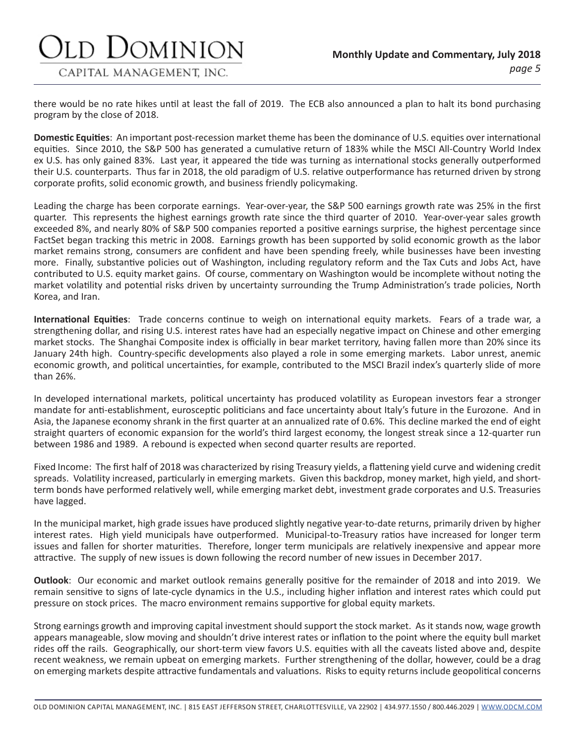there would be no rate hikes until at least the fall of 2019. The ECB also announced a plan to halt its bond purchasing program by the close of 2018.

**Domestic Equities**: An important post-recession market theme has been the dominance of U.S. equities over international equities. Since 2010, the S&P 500 has generated a cumulative return of 183% while the MSCI All-Country World Index ex U.S. has only gained 83%. Last year, it appeared the tide was turning as international stocks generally outperformed their U.S. counterparts. Thus far in 2018, the old paradigm of U.S. relative outperformance has returned driven by strong corporate profits, solid economic growth, and business friendly policymaking.

Leading the charge has been corporate earnings. Year-over-year, the S&P 500 earnings growth rate was 25% in the first quarter. This represents the highest earnings growth rate since the third quarter of 2010. Year-over-year sales growth exceeded 8%, and nearly 80% of S&P 500 companies reported a positive earnings surprise, the highest percentage since FactSet began tracking this metric in 2008. Earnings growth has been supported by solid economic growth as the labor market remains strong, consumers are confident and have been spending freely, while businesses have been investing more. Finally, substantive policies out of Washington, including regulatory reform and the Tax Cuts and Jobs Act, have contributed to U.S. equity market gains. Of course, commentary on Washington would be incomplete without noting the market volatility and potential risks driven by uncertainty surrounding the Trump Administration's trade policies, North Korea, and Iran.

**International Equities**: Trade concerns continue to weigh on international equity markets. Fears of a trade war, a strengthening dollar, and rising U.S. interest rates have had an especially negative impact on Chinese and other emerging market stocks. The Shanghai Composite index is officially in bear market territory, having fallen more than 20% since its January 24th high. Country-specific developments also played a role in some emerging markets. Labor unrest, anemic economic growth, and political uncertainties, for example, contributed to the MSCI Brazil index's quarterly slide of more than 26%.

In developed international markets, political uncertainty has produced volatility as European investors fear a stronger mandate for anti-establishment, eurosceptic politicians and face uncertainty about Italy's future in the Eurozone. And in Asia, the Japanese economy shrank in the first quarter at an annualized rate of 0.6%. This decline marked the end of eight straight quarters of economic expansion for the world's third largest economy, the longest streak since a 12-quarter run between 1986 and 1989. A rebound is expected when second quarter results are reported.

Fixed Income: The first half of 2018 was characterized by rising Treasury yields, a flattening yield curve and widening credit spreads. Volatility increased, particularly in emerging markets. Given this backdrop, money market, high yield, and shortterm bonds have performed relatively well, while emerging market debt, investment grade corporates and U.S. Treasuries have lagged.

In the municipal market, high grade issues have produced slightly negative year-to-date returns, primarily driven by higher interest rates. High yield municipals have outperformed. Municipal-to-Treasury ratios have increased for longer term issues and fallen for shorter maturities. Therefore, longer term municipals are relatively inexpensive and appear more attractive. The supply of new issues is down following the record number of new issues in December 2017.

**Outlook**: Our economic and market outlook remains generally positive for the remainder of 2018 and into 2019. We remain sensitive to signs of late-cycle dynamics in the U.S., including higher inflation and interest rates which could put pressure on stock prices. The macro environment remains supportive for global equity markets.

Strong earnings growth and improving capital investment should support the stock market. As it stands now, wage growth appears manageable, slow moving and shouldn't drive interest rates or inflation to the point where the equity bull market rides off the rails. Geographically, our short-term view favors U.S. equities with all the caveats listed above and, despite recent weakness, we remain upbeat on emerging markets. Further strengthening of the dollar, however, could be a drag on emerging markets despite attractive fundamentals and valuations. Risks to equity returns include geopolitical concerns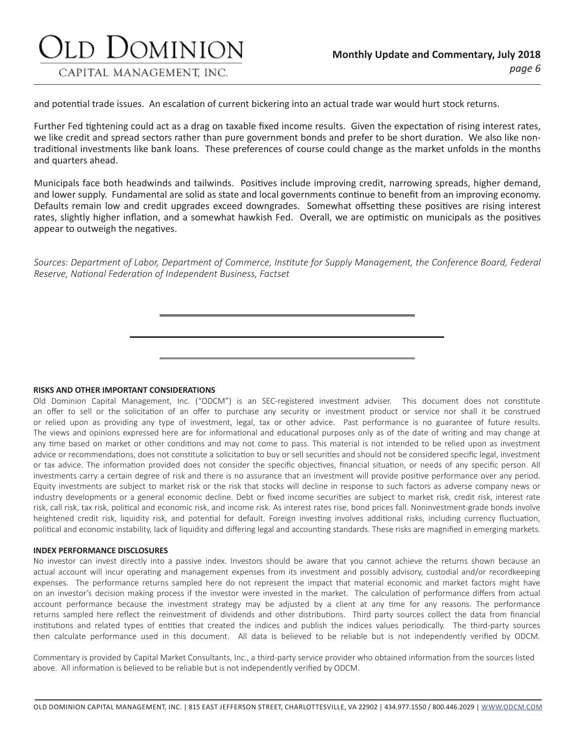### d Dominion CAPITAL MANAGEMENT, INC.

and potential trade issues. An escalation of current bickering into an actual trade war would hurt stock returns.

Further Fed tightening could act as a drag on taxable fixed income results. Given the expectation of rising interest rates, we like credit and spread sectors rather than pure government bonds and prefer to be short duration. We also like nontraditional investments like bank loans. These preferences of course could change as the market unfolds in the months and quarters ahead.

Municipals face both headwinds and tailwinds. Positives include improving credit, narrowing spreads, higher demand, and lower supply. Fundamental are solid as state and local governments continue to benefit from an improving economy. Defaults remain low and credit upgrades exceed downgrades. Somewhat offsetting these positives are rising interest rates, slightly higher inflation, and a somewhat hawkish Fed. Overall, we are optimistic on municipals as the positives appear to outweigh the negatives.

*Sources: Department of Labor, Department of Commerce, Institute for Supply Management, the Conference Board, Federal Reserve, National Federation of Independent Business, Factset*

**RISKS AND OTHER IMPORTANT CONSIDERATIONS**

Old Dominion Capital Management, Inc. ("ODCM") is an SEC-registered investment adviser. This document does not constitute an offer to sell or the solicitation of an offer to purchase any security or investment product or service nor shall it be construed or relied upon as providing any type of investment, legal, tax or other advice. Past performance is no guarantee of future results. The views and opinions expressed here are for informational and educational purposes only as of the date of writing and may change at any time based on market or other conditions and may not come to pass. This material is not intended to be relied upon as investment advice or recommendations, does not constitute a solicitation to buy or sell securities and should not be considered specific legal, investment or tax advice. The information provided does not consider the specific objectives, financial situation, or needs of any specific person. All investments carry a certain degree of risk and there is no assurance that an investment will provide positive performance over any period. Equity investments are subject to market risk or the risk that stocks will decline in response to such factors as adverse company news or industry developments or a general economic decline. Debt or fixed income securities are subject to market risk, credit risk, interest rate risk, call risk, tax risk, political and economic risk, and income risk. As interest rates rise, bond prices fall. Noninvestment-grade bonds involve heightened credit risk, liquidity risk, and potential for default. Foreign investing involves additional risks, including currency fluctuation, political and economic instability, lack of liquidity and differing legal and accounting standards. These risks are magnified in emerging markets.

#### **INDEX PERFORMANCE DISCLOSURES**

No investor can invest directly into a passive index. Investors should be aware that you cannot achieve the returns shown because an actual account will incur operating and management expenses from its investment and possibly advisory, custodial and/or recordkeeping expenses. The performance returns sampled here do not represent the impact that material economic and market factors might have on an investor's decision making process if the investor were invested in the market. The calculation of performance differs from actual account performance because the investment strategy may be adjusted by a client at any time for any reasons. The performance returns sampled here reflect the reinvestment of dividends and other distributions. Third party sources collect the data from financial institutions and related types of entities that created the indices and publish the indices values periodically. The third-party sources then calculate performance used in this document. All data is believed to be reliable but is not independently verified by ODCM.

Commentary is provided by Capital Market Consultants, Inc., a third-party service provider who obtained information from the sources listed above. All information is believed to be reliable but is not independently verified by ODCM.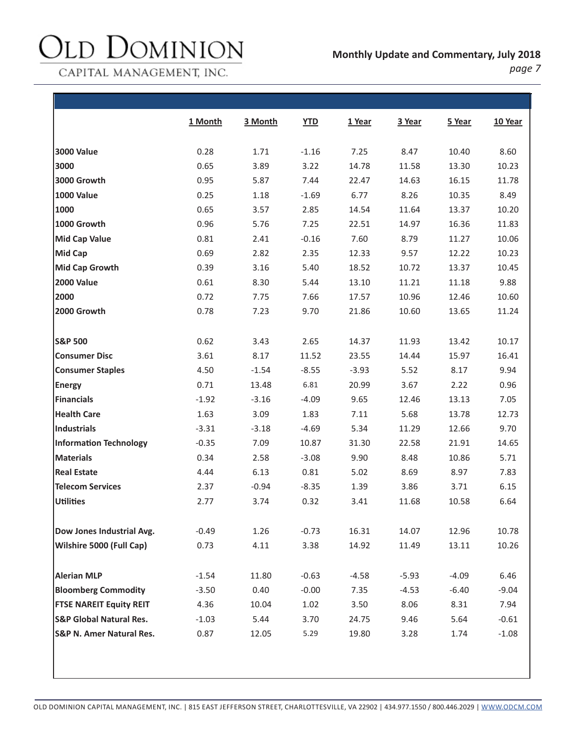#### JOMINION )I  $\mathcal{E}$

CAPITAL MANAGEMENT, INC.

|--|--|

|                                     | 1 Month | 3 Month | <b>YTD</b> | 1 Year  | 3 Year  | 5 Year  | 10 Year |
|-------------------------------------|---------|---------|------------|---------|---------|---------|---------|
| <b>3000 Value</b>                   | 0.28    | 1.71    | $-1.16$    | 7.25    | 8.47    | 10.40   | 8.60    |
| 3000                                | 0.65    | 3.89    | 3.22       | 14.78   | 11.58   | 13.30   | 10.23   |
| 3000 Growth                         | 0.95    | 5.87    | 7.44       | 22.47   | 14.63   | 16.15   | 11.78   |
| <b>1000 Value</b>                   | 0.25    | 1.18    | $-1.69$    | 6.77    | 8.26    | 10.35   | 8.49    |
| 1000                                | 0.65    | 3.57    | 2.85       | 14.54   | 11.64   | 13.37   | 10.20   |
| 1000 Growth                         | 0.96    | 5.76    | 7.25       | 22.51   | 14.97   | 16.36   | 11.83   |
| <b>Mid Cap Value</b>                | 0.81    | 2.41    | $-0.16$    | 7.60    | 8.79    | 11.27   | 10.06   |
| <b>Mid Cap</b>                      | 0.69    | 2.82    | 2.35       | 12.33   | 9.57    | 12.22   | 10.23   |
| <b>Mid Cap Growth</b>               | 0.39    | 3.16    | 5.40       | 18.52   | 10.72   | 13.37   | 10.45   |
| <b>2000 Value</b>                   | 0.61    | 8.30    | 5.44       | 13.10   | 11.21   | 11.18   | 9.88    |
| 2000                                | 0.72    | 7.75    | 7.66       | 17.57   | 10.96   | 12.46   | 10.60   |
| 2000 Growth                         | 0.78    | 7.23    | 9.70       | 21.86   | 10.60   | 13.65   | 11.24   |
| <b>S&amp;P 500</b>                  | 0.62    | 3.43    | 2.65       | 14.37   | 11.93   | 13.42   | 10.17   |
| <b>Consumer Disc</b>                | 3.61    | 8.17    | 11.52      | 23.55   | 14.44   | 15.97   | 16.41   |
| <b>Consumer Staples</b>             | 4.50    | $-1.54$ | $-8.55$    | $-3.93$ | 5.52    | 8.17    | 9.94    |
| <b>Energy</b>                       | 0.71    | 13.48   | 6.81       | 20.99   | 3.67    | 2.22    | 0.96    |
| <b>Financials</b>                   | $-1.92$ | $-3.16$ | $-4.09$    | 9.65    | 12.46   | 13.13   | 7.05    |
| <b>Health Care</b>                  | 1.63    | 3.09    | 1.83       | 7.11    | 5.68    | 13.78   | 12.73   |
| <b>Industrials</b>                  | $-3.31$ | $-3.18$ | $-4.69$    | 5.34    | 11.29   | 12.66   | 9.70    |
| <b>Information Technology</b>       | $-0.35$ | 7.09    | 10.87      | 31.30   | 22.58   | 21.91   | 14.65   |
| <b>Materials</b>                    | 0.34    | 2.58    | $-3.08$    | 9.90    | 8.48    | 10.86   | 5.71    |
| <b>Real Estate</b>                  | 4.44    | 6.13    | 0.81       | 5.02    | 8.69    | 8.97    | 7.83    |
| <b>Telecom Services</b>             | 2.37    | $-0.94$ | $-8.35$    | 1.39    | 3.86    | 3.71    | 6.15    |
| <b>Utilities</b>                    | 2.77    | 3.74    | 0.32       | 3.41    | 11.68   | 10.58   | 6.64    |
| Dow Jones Industrial Avg.           | $-0.49$ | 1.26    | $-0.73$    | 16.31   | 14.07   | 12.96   | 10.78   |
| Wilshire 5000 (Full Cap)            | 0.73    | 4.11    | 3.38       | 14.92   | 11.49   | 13.11   | 10.26   |
| <b>Alerian MLP</b>                  | $-1.54$ | 11.80   | $-0.63$    | $-4.58$ | $-5.93$ | $-4.09$ | 6.46    |
| <b>Bloomberg Commodity</b>          | $-3.50$ | 0.40    | $-0.00$    | 7.35    | $-4.53$ | $-6.40$ | $-9.04$ |
| <b>FTSE NAREIT Equity REIT</b>      | 4.36    | 10.04   | 1.02       | 3.50    | 8.06    | 8.31    | 7.94    |
| <b>S&amp;P Global Natural Res.</b>  | $-1.03$ | 5.44    | 3.70       | 24.75   | 9.46    | 5.64    | $-0.61$ |
| <b>S&amp;P N. Amer Natural Res.</b> | 0.87    | 12.05   | 5.29       | 19.80   | 3.28    | 1.74    | $-1.08$ |
|                                     |         |         |            |         |         |         |         |
|                                     |         |         |            |         |         |         |         |